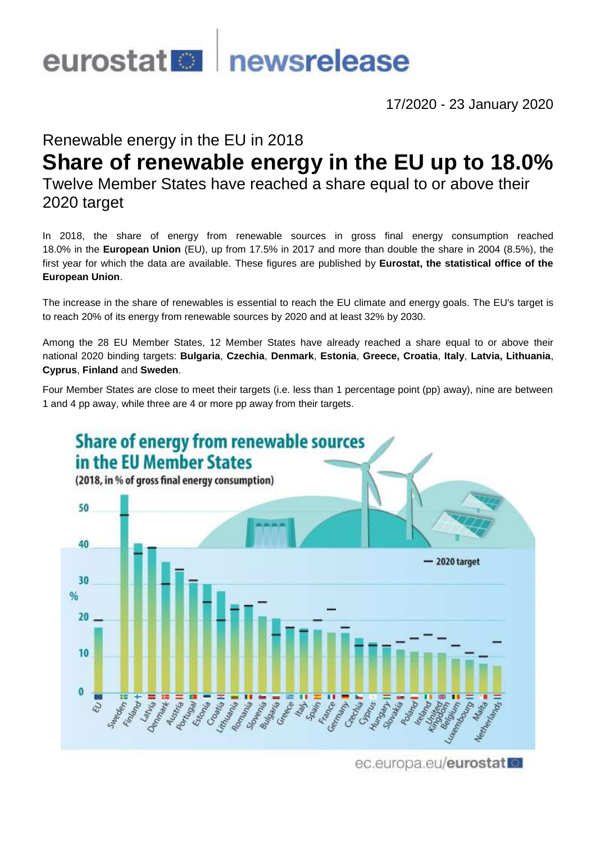

17/2020 - 23 January 2020

# Renewable energy in the EU in 2018

# **Share of renewable energy in the EU up to 18.0%**

Twelve Member States have reached a share equal to or above their 2020 target

In 2018, the share of energy from renewable sources in gross final energy consumption reached 18.0% in the **European Union** (EU), up from 17.5% in 2017 and more than double the share in 2004 (8.5%), the first year for which the data are available. These figures are published by **Eurostat, the statistical office of the European Union**.

The increase in the share of renewables is essential to reach the EU climate and energy goals. The EU's target is to reach 20% of its energy from renewable sources by 2020 and at least 32% by 2030.

Among the 28 EU Member States, 12 Member States have already reached a share equal to or above their national 2020 binding targets: **Bulgaria**, **Czechia**, **Denmark**, **Estonia**, **Greece, Croatia**, **Italy**, **Latvia, Lithuania**, **Cyprus**, **Finland** and **Sweden**.

Four Member States are close to meet their targets (i.e. less than 1 percentage point (pp) away), nine are between 1 and 4 pp away, while three are 4 or more pp away from their targets.



ec.europa.eu/eurostat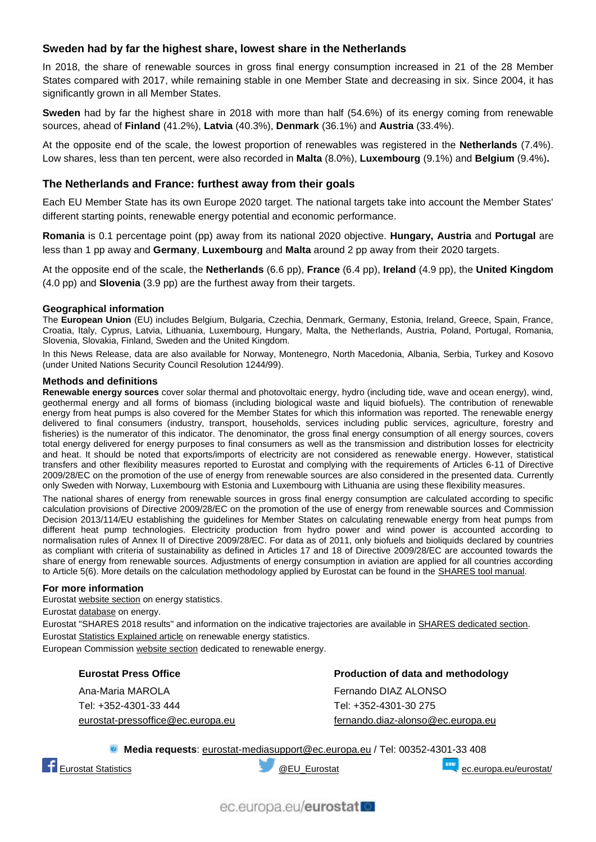## **Sweden had by far the highest share, lowest share in the Netherlands**

In 2018, the share of renewable sources in gross final energy consumption increased in 21 of the 28 Member States compared with 2017, while remaining stable in one Member State and decreasing in six. Since 2004, it has significantly grown in all Member States.

**Sweden** had by far the highest share in 2018 with more than half (54.6%) of its energy coming from renewable sources, ahead of **Finland** (41.2%), **Latvia** (40.3%), **Denmark** (36.1%) and **Austria** (33.4%).

At the opposite end of the scale, the lowest proportion of renewables was registered in the **Netherlands** (7.4%). Low shares, less than ten percent, were also recorded in **Malta** (8.0%), **Luxembourg** (9.1%) and **Belgium** (9.4%)**.**

### **The Netherlands and France: furthest away from their goals**

Each EU Member State has its own Europe 2020 target. The national targets take into account the Member States' different starting points, renewable energy potential and economic performance.

**Romania** is 0.1 percentage point (pp) away from its national 2020 objective. **Hungary, Austria** and **Portugal** are less than 1 pp away and **Germany**, **Luxembourg** and **Malta** around 2 pp away from their 2020 targets.

At the opposite end of the scale, the **Netherlands** (6.6 pp), **France** (6.4 pp), **Ireland** (4.9 pp), the **United Kingdom** (4.0 pp) and **Slovenia** (3.9 pp) are the furthest away from their targets.

#### **Geographical information**

The **European Union** (EU) includes Belgium, Bulgaria, Czechia, Denmark, Germany, Estonia, Ireland, Greece, Spain, France, Croatia, Italy, Cyprus, Latvia, Lithuania, Luxembourg, Hungary, Malta, the Netherlands, Austria, Poland, Portugal, Romania, Slovenia, Slovakia, Finland, Sweden and the United Kingdom.

In this News Release, data are also available for Norway, Montenegro, North Macedonia, Albania, Serbia, Turkey and Kosovo (under United Nations Security Council Resolution 1244/99).

#### **Methods and definitions**

**Renewable energy sources** cover solar thermal and photovoltaic energy, hydro (including tide, wave and ocean energy), wind, geothermal energy and all forms of biomass (including biological waste and liquid biofuels). The contribution of renewable energy from heat pumps is also covered for the Member States for which this information was reported. The renewable energy delivered to final consumers (industry, transport, households, services including public services, agriculture, forestry and fisheries) is the numerator of this indicator. The denominator, the gross final energy consumption of all energy sources, covers total energy delivered for energy purposes to final consumers as well as the transmission and distribution losses for electricity and heat. It should be noted that exports/imports of electricity are not considered as renewable energy. However, statistical transfers and other flexibility measures reported to Eurostat and complying with the requirements of Articles 6-11 of Directive 2009/28/EC on the promotion of the use of energy from renewable sources are also considered in the presented data. Currently only Sweden with Norway, Luxembourg with Estonia and Luxembourg with Lithuania are using these flexibility measures.

The national shares of energy from renewable sources in gross final energy consumption are calculated according to specific calculation provisions of Directive 2009/28/EC on the promotion of the use of energy from renewable sources and Commission Decision 2013/114/EU establishing the guidelines for Member States on calculating renewable energy from heat pumps from different heat pump technologies. Electricity production from hydro power and wind power is accounted according to normalisation rules of Annex II of Directive 2009/28/EC. For data as of 2011, only biofuels and bioliquids declared by countries as compliant with criteria of sustainability as defined in Articles 17 and 18 of Directive 2009/28/EC are accounted towards the share of energy from renewable sources. Adjustments of energy consumption in aviation are applied for all countries according to Article 5(6). More details on the calculation methodology applied by Eurostat can be found in the **SHARES** tool manual.

#### **For more information**

Eurosta[t website section](https://ec.europa.eu/eurostat/web/energy/overview) on energy statistics.

Eurostat [database](https://ec.europa.eu/eurostat/web/energy/data/database) on energy.

Eurostat "SHARES 2018 results" and information on the indicative trajectories are available in [SHARES dedicated section.](https://ec.europa.eu/eurostat/web/energy/data/shares) Eurosta[t Statistics Explained article](https://ec.europa.eu/eurostat/statistics-explained/index.php/Renewable_energy_statistics) on renewable energy statistics.

European Commission [website section](https://ec.europa.eu/energy/en/topics/renewable-energy) dedicated to renewable energy.

#### **Eurostat Press Office**

Ana-Maria MAROLA Tel: +352-4301-33 444 [eurostat-pressoffice@ec.europa.eu](mailto:eurostat-pressoffice@ec.europa.eu) **Production of data and methodology** Fernando DIAZ ALONSO Tel: +352-4301-30 275 [fernando.diaz-alonso@ec.europa.eu](mailto:fernando.diaz-alonso@ec.europa.eu)

**Media requests**: [eurostat-mediasupport@ec.europa.eu](mailto:eurostat-media-support@ec.europa.eu) / Tel: 00352-4301-33 408